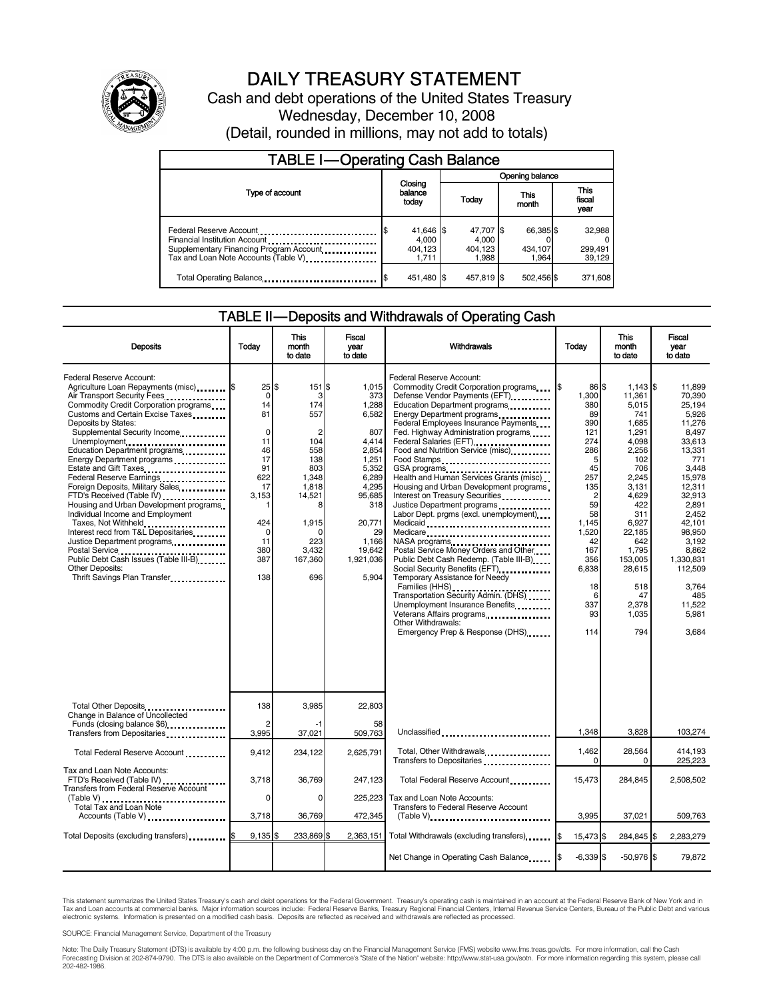

# DAILY TREASURY STATEMENT

Cash and debt operations of the United States Treasury Wednesday, December 10, 2008 (Detail, rounded in millions, may not add to totals)

| <b>TABLE I-Operating Cash Balance</b>                                                                             |                                        |                                        |                               |                             |  |  |  |
|-------------------------------------------------------------------------------------------------------------------|----------------------------------------|----------------------------------------|-------------------------------|-----------------------------|--|--|--|
|                                                                                                                   |                                        | Opening balance                        |                               |                             |  |  |  |
| Type of account                                                                                                   | Closing<br>balance<br>today            | This<br>Today<br>month                 |                               | This<br>fiscal<br>year      |  |  |  |
| Financial Institution Account<br>Supplementary Financing Program Account<br>Tax and Loan Note Accounts (Table V). | 41,646 \$<br>4.000<br>404.123<br>1.711 | 47,707 \$<br>4.000<br>404,123<br>1.988 | 66,385 \$<br>434,107<br>1.964 | 32,988<br>299,491<br>39,129 |  |  |  |
| Total Operating Balance                                                                                           | 451,480 \$                             | 457,819 \$                             | 502,456 \$                    | 371,608                     |  |  |  |

#### TABLE II — Deposits and Withdrawals of Operating Cash

| <b>Deposits</b>                                                                                                                                                                                                                                                                                                                                                                                                                                                                                                                                                                                                                                                                                                         | Todav                                                                                                                                         | This<br>month<br>to date                                                                                                                                       | Fiscal<br>vear<br>to date                                                                                                                                             | <b>Withdrawals</b>                                                                                                                                                                                                                                                                                                                                                                                                                                                                                                                                                                                                                                                                                                                                                                                                                                                                                                                                                                                                                                               | Today                                                                                                                                                                                        | This<br>month<br>to date                                                                                                                                                                                                      | Fiscal<br>vear<br>to date                                                                                                                                                                                                                            |
|-------------------------------------------------------------------------------------------------------------------------------------------------------------------------------------------------------------------------------------------------------------------------------------------------------------------------------------------------------------------------------------------------------------------------------------------------------------------------------------------------------------------------------------------------------------------------------------------------------------------------------------------------------------------------------------------------------------------------|-----------------------------------------------------------------------------------------------------------------------------------------------|----------------------------------------------------------------------------------------------------------------------------------------------------------------|-----------------------------------------------------------------------------------------------------------------------------------------------------------------------|------------------------------------------------------------------------------------------------------------------------------------------------------------------------------------------------------------------------------------------------------------------------------------------------------------------------------------------------------------------------------------------------------------------------------------------------------------------------------------------------------------------------------------------------------------------------------------------------------------------------------------------------------------------------------------------------------------------------------------------------------------------------------------------------------------------------------------------------------------------------------------------------------------------------------------------------------------------------------------------------------------------------------------------------------------------|----------------------------------------------------------------------------------------------------------------------------------------------------------------------------------------------|-------------------------------------------------------------------------------------------------------------------------------------------------------------------------------------------------------------------------------|------------------------------------------------------------------------------------------------------------------------------------------------------------------------------------------------------------------------------------------------------|
| Federal Reserve Account:<br>Agriculture Loan Repayments (misc) <b>\$</b><br>Air Transport Security Fees<br>Commodity Credit Corporation programs<br>Customs and Certain Excise Taxes<br>Deposits by States:<br>Supplemental Security Income<br>Unemployment<br>Education Department programs<br>Energy Department programs<br>Estate and Gift Taxes<br>Federal Reserve Earnings<br>Foreign Deposits, Military Sales<br>FTD's Received (Table IV)<br>Housing and Urban Development programs<br>Individual Income and Employment<br>Taxes, Not Withheld<br>Interest recd from T&L Depositaries<br>Justice Department programs<br>Public Debt Cash Issues (Table III-B)<br>Other Deposits:<br>Thrift Savings Plan Transfer | 25<br>$\mathbf 0$<br>14<br>81<br>$\mathbf 0$<br>11<br>46<br>17<br>91<br>622<br>17<br>3,153<br>1<br>424<br>$\Omega$<br>11<br>380<br>387<br>138 | \$<br>151 \$<br>3<br>174<br>557<br>$\overline{c}$<br>104<br>558<br>138<br>803<br>1,348<br>1,818<br>14,521<br>8<br>1,915<br>n<br>223<br>3.432<br>167,360<br>696 | 1,015<br>373<br>1,288<br>6,582<br>807<br>4.414<br>2,854<br>1,251<br>5,352<br>6,289<br>4,295<br>95,685<br>318<br>20,771<br>29<br>1.166<br>19.642<br>1,921,036<br>5.904 | Federal Reserve Account:<br>Commodity Credit Corporation programs<br>Defense Vendor Payments (EFT)<br>Education Department programs<br>Energy Department programs<br>Federal Employees Insurance Payments<br>Fed. Highway Administration programs<br>Federal Salaries (EFT)<br>1991 - Production California Salaries (EFT)<br>1991 - Production California Salaries (California Salaries (California Salaries (California Salaries (California Salaries (California Salaries (Californi<br>Food and Nutrition Service (misc)<br>Food Stamps<br>Health and Human Services Grants (misc)<br>Housing and Urban Development programs<br>Interest on Treasury Securities<br>Justice Department programs<br>Labor Dept. prgms (excl. unemployment)<br>Medicaid<br>Medicare<br>NASA programs<br>Postal Service Money Orders and Other<br>Public Debt Cash Redemp. (Table III-B)<br>Temporary Assistance for Needy<br>Families (HHS)<br>Transportation Security Admin. (DHS)<br>Unemployment Insurance Benefits<br>Other Withdrawals:<br>Emergency Prep & Response (DHS) | 86 \$<br>1,300<br>380<br>89<br>390<br>121<br>274<br>286<br>5<br>45<br>257<br>135<br>$\overline{c}$<br>59<br>58<br>1,145<br>1,520<br>42<br>167<br>356<br>6,838<br>18<br>6<br>337<br>93<br>114 | $1,143$ \$<br>11,361<br>5,015<br>741<br>1,685<br>1,291<br>4.098<br>2,256<br>102<br>706<br>2,245<br>3,131<br>4,629<br>422<br>311<br>6,927<br>22,185<br>642<br>1,795<br>153,005<br>28,615<br>518<br>47<br>2.378<br>1,035<br>794 | 11.899<br>70.390<br>25.194<br>5,926<br>11,276<br>8,497<br>33.613<br>13,331<br>771<br>3,448<br>15.978<br>12,311<br>32.913<br>2.891<br>2.452<br>42.101<br>98,950<br>3,192<br>8.862<br>1,330,831<br>112,509<br>3.764<br>485<br>11.522<br>5.981<br>3,684 |
| Total Other Deposits<br>Change in Balance of Uncollected                                                                                                                                                                                                                                                                                                                                                                                                                                                                                                                                                                                                                                                                | 138                                                                                                                                           | 3,985                                                                                                                                                          | 22,803                                                                                                                                                                |                                                                                                                                                                                                                                                                                                                                                                                                                                                                                                                                                                                                                                                                                                                                                                                                                                                                                                                                                                                                                                                                  |                                                                                                                                                                                              |                                                                                                                                                                                                                               |                                                                                                                                                                                                                                                      |
| Funds (closing balance \$6)<br>Transfers from Depositaries<br>                                                                                                                                                                                                                                                                                                                                                                                                                                                                                                                                                                                                                                                          | 2<br>3,995                                                                                                                                    | 37,021                                                                                                                                                         | 58<br>509,763                                                                                                                                                         | Unclassified                                                                                                                                                                                                                                                                                                                                                                                                                                                                                                                                                                                                                                                                                                                                                                                                                                                                                                                                                                                                                                                     | 1.348                                                                                                                                                                                        | 3.828                                                                                                                                                                                                                         | 103,274                                                                                                                                                                                                                                              |
| Total Federal Reserve Account                                                                                                                                                                                                                                                                                                                                                                                                                                                                                                                                                                                                                                                                                           | 9,412                                                                                                                                         | 234,122                                                                                                                                                        | 2,625,791                                                                                                                                                             | Total, Other Withdrawals<br>Transfers to Depositaries                                                                                                                                                                                                                                                                                                                                                                                                                                                                                                                                                                                                                                                                                                                                                                                                                                                                                                                                                                                                            | 1,462<br>$\Omega$                                                                                                                                                                            | 28,564<br>0                                                                                                                                                                                                                   | 414,193<br>225,223                                                                                                                                                                                                                                   |
| Tax and Loan Note Accounts:<br>FTD's Received (Table IV)<br><b>Transfers from Federal Reserve Account</b>                                                                                                                                                                                                                                                                                                                                                                                                                                                                                                                                                                                                               | 3,718<br>$\Omega$                                                                                                                             | 36,769<br>$\Omega$                                                                                                                                             | 247,123<br>225,223                                                                                                                                                    | Total Federal Reserve Account<br>Tax and Loan Note Accounts:                                                                                                                                                                                                                                                                                                                                                                                                                                                                                                                                                                                                                                                                                                                                                                                                                                                                                                                                                                                                     | 15,473                                                                                                                                                                                       | 284,845                                                                                                                                                                                                                       | 2,508,502                                                                                                                                                                                                                                            |
| $(Table V)$<br><br>Total Tax and Loan Note<br>Accounts (Table V)                                                                                                                                                                                                                                                                                                                                                                                                                                                                                                                                                                                                                                                        | 3,718                                                                                                                                         | 36,769                                                                                                                                                         | 472,345                                                                                                                                                               | <b>Transfers to Federal Reserve Account</b><br>$(Table V)$ ,                                                                                                                                                                                                                                                                                                                                                                                                                                                                                                                                                                                                                                                                                                                                                                                                                                                                                                                                                                                                     | 3,995                                                                                                                                                                                        | 37,021                                                                                                                                                                                                                        | 509,763                                                                                                                                                                                                                                              |
| Total Deposits (excluding transfers)                                                                                                                                                                                                                                                                                                                                                                                                                                                                                                                                                                                                                                                                                    | 9,135                                                                                                                                         | 233,869<br>\$.                                                                                                                                                 |                                                                                                                                                                       | 2,363,151 Total Withdrawals (excluding transfers)                                                                                                                                                                                                                                                                                                                                                                                                                                                                                                                                                                                                                                                                                                                                                                                                                                                                                                                                                                                                                | I\$<br>15,473 \$                                                                                                                                                                             | 284,845 \$                                                                                                                                                                                                                    | 2,283,279                                                                                                                                                                                                                                            |
|                                                                                                                                                                                                                                                                                                                                                                                                                                                                                                                                                                                                                                                                                                                         |                                                                                                                                               |                                                                                                                                                                |                                                                                                                                                                       | Net Change in Operating Cash Balance                                                                                                                                                                                                                                                                                                                                                                                                                                                                                                                                                                                                                                                                                                                                                                                                                                                                                                                                                                                                                             | $-6,339$ \$                                                                                                                                                                                  | $-50,976$ \$                                                                                                                                                                                                                  | 79,872                                                                                                                                                                                                                                               |

This statement summarizes the United States Treasury's cash and debt operations for the Federal Government. Treasury's operating cash is maintained in an account at the Federal Reserve Bank of New York and in<br>Tax and Loan

SOURCE: Financial Management Service, Department of the Treasury

Note: The Daily Treasury Statement (DTS) is available by 4:00 p.m. the following business day on the Financial Management Service (FMS) website www.fms.treas.gov/dts. For more information, call the Cash<br>Forecasting Divisio eas.gov/dts. F<br>For more infor